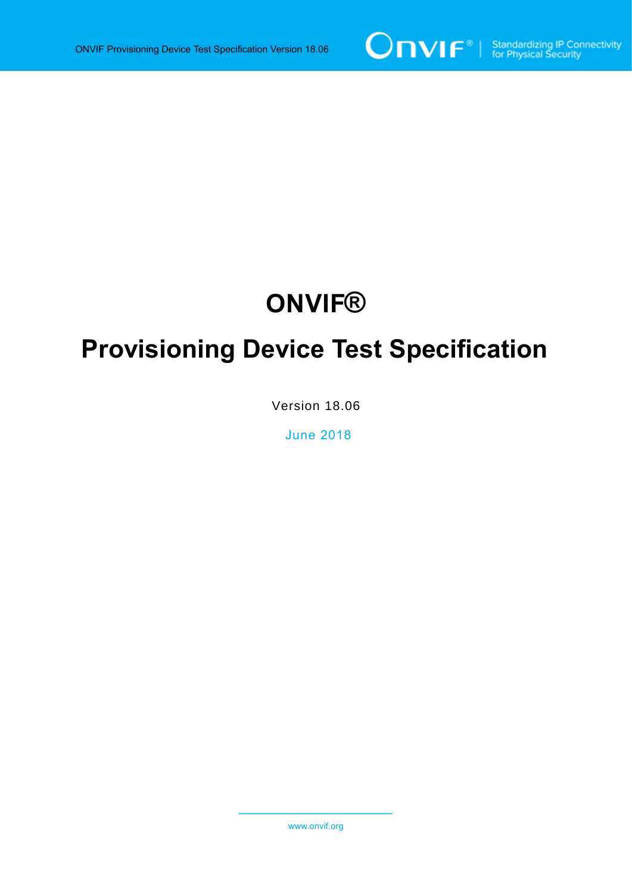

# **ONVIF®**

# **Provisioning Device Test Specification**

Version 18.06

June 2018

www.onvif.org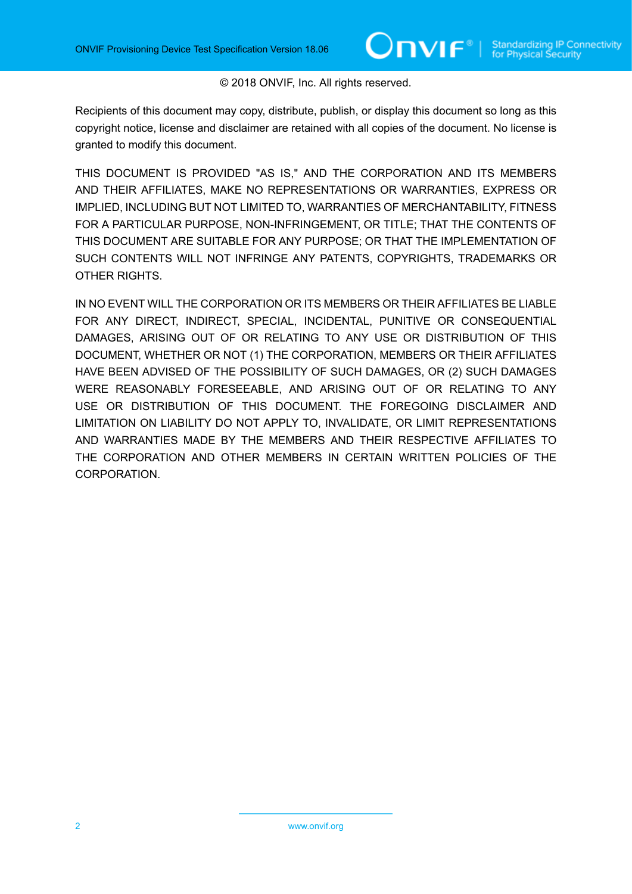#### © 2018 ONVIF, Inc. All rights reserved.

Recipients of this document may copy, distribute, publish, or display this document so long as this copyright notice, license and disclaimer are retained with all copies of the document. No license is granted to modify this document.

THIS DOCUMENT IS PROVIDED "AS IS," AND THE CORPORATION AND ITS MEMBERS AND THEIR AFFILIATES, MAKE NO REPRESENTATIONS OR WARRANTIES, EXPRESS OR IMPLIED, INCLUDING BUT NOT LIMITED TO, WARRANTIES OF MERCHANTABILITY, FITNESS FOR A PARTICULAR PURPOSE, NON-INFRINGEMENT, OR TITLE; THAT THE CONTENTS OF THIS DOCUMENT ARE SUITABLE FOR ANY PURPOSE; OR THAT THE IMPLEMENTATION OF SUCH CONTENTS WILL NOT INFRINGE ANY PATENTS, COPYRIGHTS, TRADEMARKS OR OTHER RIGHTS.

IN NO EVENT WILL THE CORPORATION OR ITS MEMBERS OR THEIR AFFILIATES BE LIABLE FOR ANY DIRECT, INDIRECT, SPECIAL, INCIDENTAL, PUNITIVE OR CONSEQUENTIAL DAMAGES, ARISING OUT OF OR RELATING TO ANY USE OR DISTRIBUTION OF THIS DOCUMENT, WHETHER OR NOT (1) THE CORPORATION, MEMBERS OR THEIR AFFILIATES HAVE BEEN ADVISED OF THE POSSIBILITY OF SUCH DAMAGES, OR (2) SUCH DAMAGES WERE REASONABLY FORESEEABLE, AND ARISING OUT OF OR RELATING TO ANY USE OR DISTRIBUTION OF THIS DOCUMENT. THE FOREGOING DISCLAIMER AND LIMITATION ON LIABILITY DO NOT APPLY TO, INVALIDATE, OR LIMIT REPRESENTATIONS AND WARRANTIES MADE BY THE MEMBERS AND THEIR RESPECTIVE AFFILIATES TO THE CORPORATION AND OTHER MEMBERS IN CERTAIN WRITTEN POLICIES OF THE CORPORATION.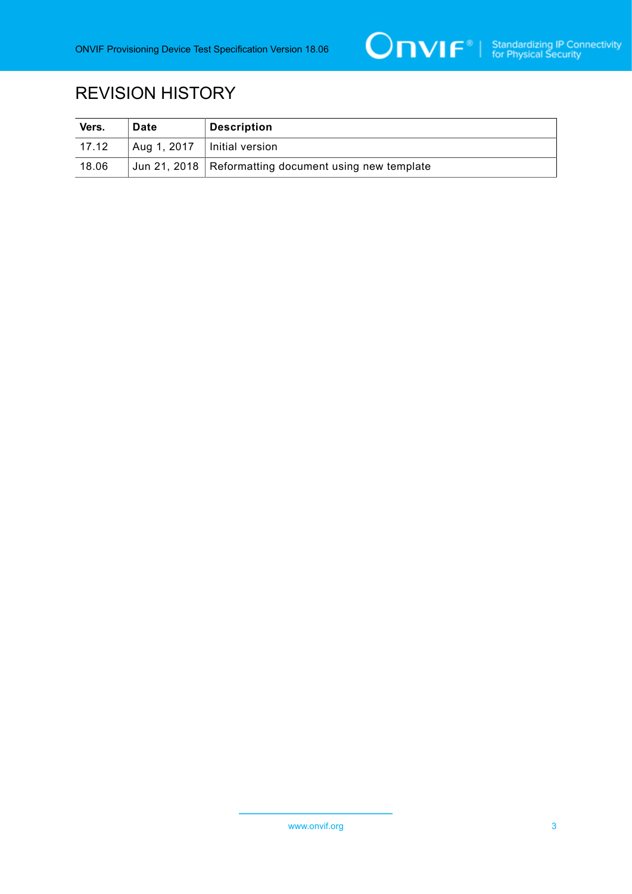

# REVISION HISTORY

| Vers.         | <b>Date</b> | <b>Description</b>                                      |
|---------------|-------------|---------------------------------------------------------|
| $\vert$ 17.12 | Aug 1, 2017 | ∣ Initial version                                       |
| 18.06         |             | Jun 21, 2018   Reformatting document using new template |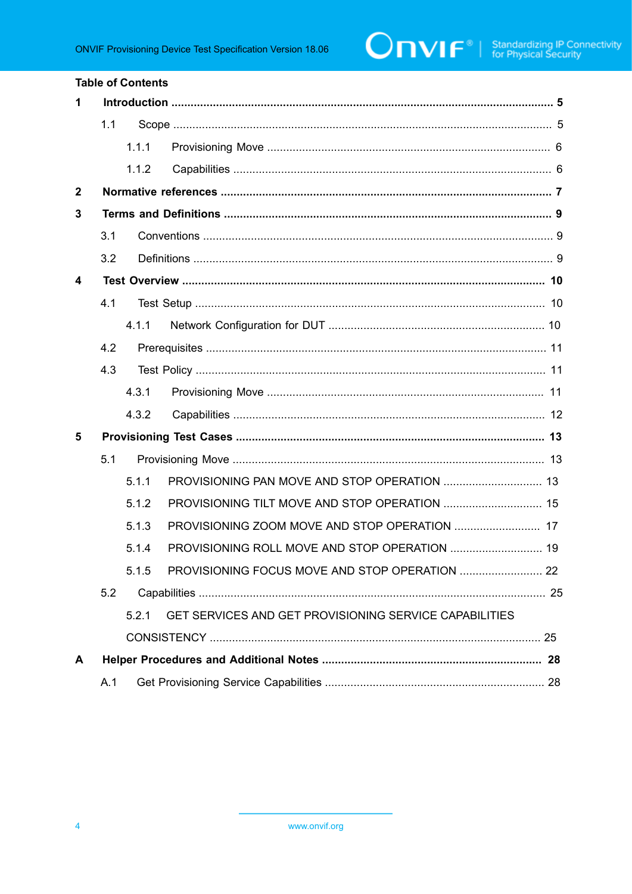#### **Table of Contents**

| 1            |     |       |                                                        |  |  |
|--------------|-----|-------|--------------------------------------------------------|--|--|
|              | 1.1 |       |                                                        |  |  |
|              |     | 1.1.1 |                                                        |  |  |
|              |     | 1.1.2 |                                                        |  |  |
| $\mathbf{2}$ |     |       |                                                        |  |  |
| 3            |     |       |                                                        |  |  |
|              | 3.1 |       |                                                        |  |  |
|              | 3.2 |       |                                                        |  |  |
| 4            |     |       |                                                        |  |  |
|              | 4.1 |       |                                                        |  |  |
|              |     | 4.1.1 |                                                        |  |  |
|              | 4.2 |       |                                                        |  |  |
|              | 4.3 |       |                                                        |  |  |
|              |     | 4.3.1 |                                                        |  |  |
|              |     | 4.3.2 |                                                        |  |  |
| 5            |     |       |                                                        |  |  |
|              | 5.1 |       |                                                        |  |  |
|              |     | 5.1.1 |                                                        |  |  |
|              |     | 5.1.2 |                                                        |  |  |
|              |     | 5.1.3 |                                                        |  |  |
|              |     | 5.1.4 |                                                        |  |  |
|              |     | 5.1.5 |                                                        |  |  |
|              | 5.2 |       |                                                        |  |  |
|              |     | 5.2.1 | GET SERVICES AND GET PROVISIONING SERVICE CAPABILITIES |  |  |
|              |     |       |                                                        |  |  |
| A            |     |       |                                                        |  |  |
|              | A.1 |       |                                                        |  |  |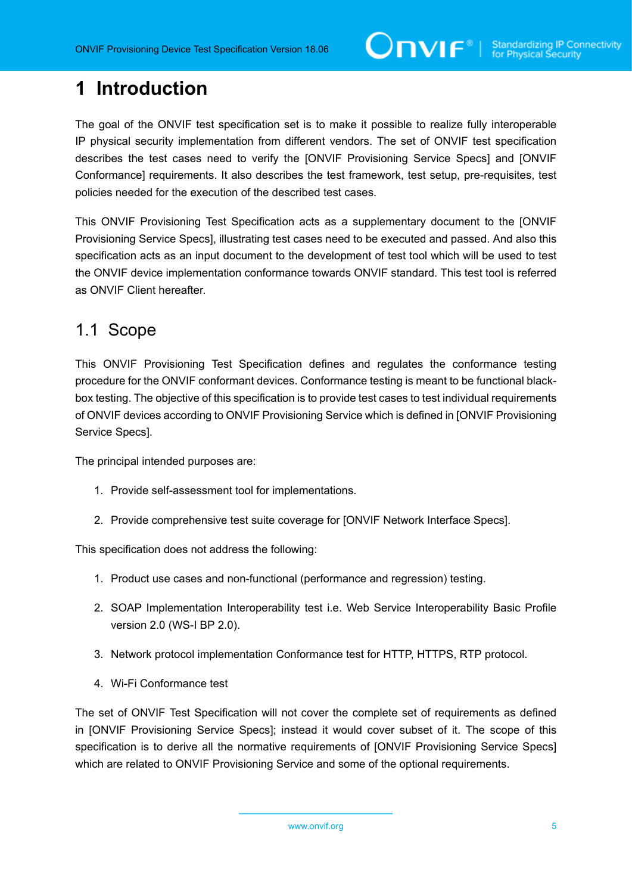# <span id="page-4-0"></span>**1 Introduction**

The goal of the ONVIF test specification set is to make it possible to realize fully interoperable IP physical security implementation from different vendors. The set of ONVIF test specification describes the test cases need to verify the [ONVIF Provisioning Service Specs] and [ONVIF Conformance] requirements. It also describes the test framework, test setup, pre-requisites, test policies needed for the execution of the described test cases.

This ONVIF Provisioning Test Specification acts as a supplementary document to the [ONVIF Provisioning Service Specs], illustrating test cases need to be executed and passed. And also this specification acts as an input document to the development of test tool which will be used to test the ONVIF device implementation conformance towards ONVIF standard. This test tool is referred as ONVIF Client hereafter.

### <span id="page-4-1"></span>1.1 Scope

This ONVIF Provisioning Test Specification defines and regulates the conformance testing procedure for the ONVIF conformant devices. Conformance testing is meant to be functional blackbox testing. The objective of this specification is to provide test cases to test individual requirements of ONVIF devices according to ONVIF Provisioning Service which is defined in [ONVIF Provisioning Service Specs].

The principal intended purposes are:

- 1. Provide self-assessment tool for implementations.
- 2. Provide comprehensive test suite coverage for [ONVIF Network Interface Specs].

This specification does not address the following:

- 1. Product use cases and non-functional (performance and regression) testing.
- 2. SOAP Implementation Interoperability test i.e. Web Service Interoperability Basic Profile version 2.0 (WS-I BP 2.0).
- 3. Network protocol implementation Conformance test for HTTP, HTTPS, RTP protocol.
- 4. Wi-Fi Conformance test

The set of ONVIF Test Specification will not cover the complete set of requirements as defined in [ONVIF Provisioning Service Specs]; instead it would cover subset of it. The scope of this specification is to derive all the normative requirements of [ONVIF Provisioning Service Specs] which are related to ONVIF Provisioning Service and some of the optional requirements.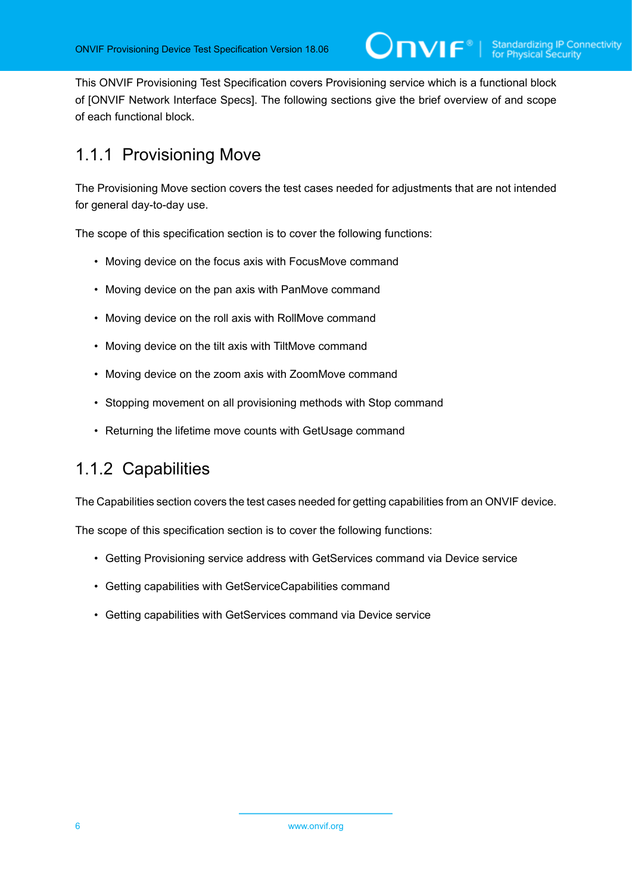This ONVIF Provisioning Test Specification covers Provisioning service which is a functional block of [ONVIF Network Interface Specs]. The following sections give the brief overview of and scope of each functional block.

# <span id="page-5-0"></span>1.1.1 Provisioning Move

The Provisioning Move section covers the test cases needed for adjustments that are not intended for general day-to-day use.

The scope of this specification section is to cover the following functions:

- Moving device on the focus axis with FocusMove command
- Moving device on the pan axis with PanMove command
- Moving device on the roll axis with RollMove command
- Moving device on the tilt axis with TiltMove command
- Moving device on the zoom axis with ZoomMove command
- Stopping movement on all provisioning methods with Stop command
- Returning the lifetime move counts with GetUsage command

# <span id="page-5-1"></span>1.1.2 Capabilities

The Capabilities section covers the test cases needed for getting capabilities from an ONVIF device.

The scope of this specification section is to cover the following functions:

- Getting Provisioning service address with GetServices command via Device service
- Getting capabilities with GetServiceCapabilities command
- Getting capabilities with GetServices command via Device service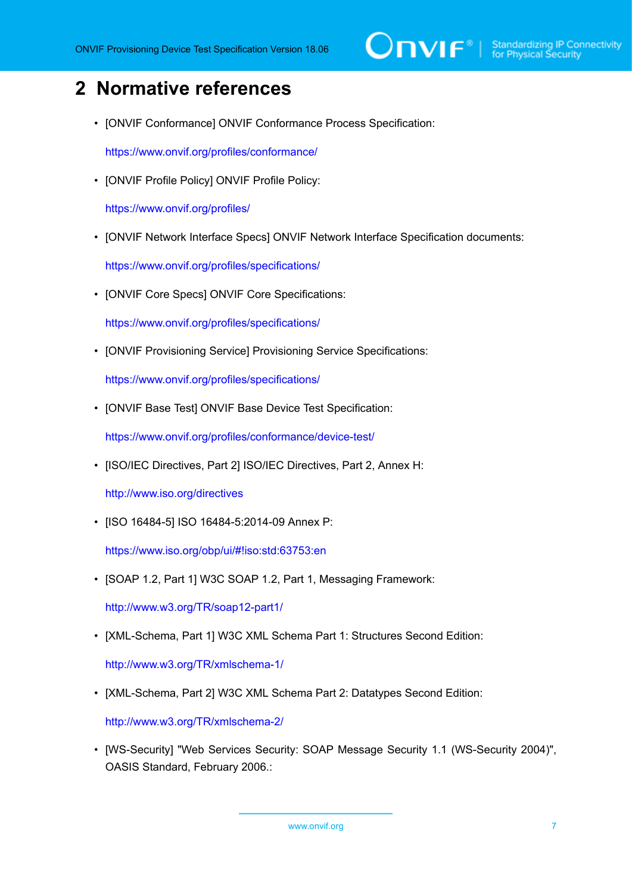# $\sum_{\text{ref}}$   $\sum_{\text{ref}}$   $\sum_{\text{ref}}$  Standardizing IP Connectivity

# <span id="page-6-0"></span>**2 Normative references**

• [ONVIF Conformance] ONVIF Conformance Process Specification:

<https://www.onvif.org/profiles/conformance/>

• [ONVIF Profile Policy] ONVIF Profile Policy:

<https://www.onvif.org/profiles/>

• [ONVIF Network Interface Specs] ONVIF Network Interface Specification documents:

<https://www.onvif.org/profiles/specifications/>

• [ONVIF Core Specs] ONVIF Core Specifications:

<https://www.onvif.org/profiles/specifications/>

• [ONVIF Provisioning Service] Provisioning Service Specifications:

<https://www.onvif.org/profiles/specifications/>

• [ONVIF Base Test] ONVIF Base Device Test Specification:

<https://www.onvif.org/profiles/conformance/device-test/>

• [ISO/IEC Directives, Part 2] ISO/IEC Directives, Part 2, Annex H:

<http://www.iso.org/directives>

• [ISO 16484-5] ISO 16484-5:2014-09 Annex P:

<https://www.iso.org/obp/ui/#!iso:std:63753:en>

• [SOAP 1.2, Part 1] W3C SOAP 1.2, Part 1, Messaging Framework:

<http://www.w3.org/TR/soap12-part1/>

• [XML-Schema, Part 1] W3C XML Schema Part 1: Structures Second Edition:

<http://www.w3.org/TR/xmlschema-1/>

• [XML-Schema, Part 2] W3C XML Schema Part 2: Datatypes Second Edition:

<http://www.w3.org/TR/xmlschema-2/>

• [WS-Security] "Web Services Security: SOAP Message Security 1.1 (WS-Security 2004)", OASIS Standard, February 2006.: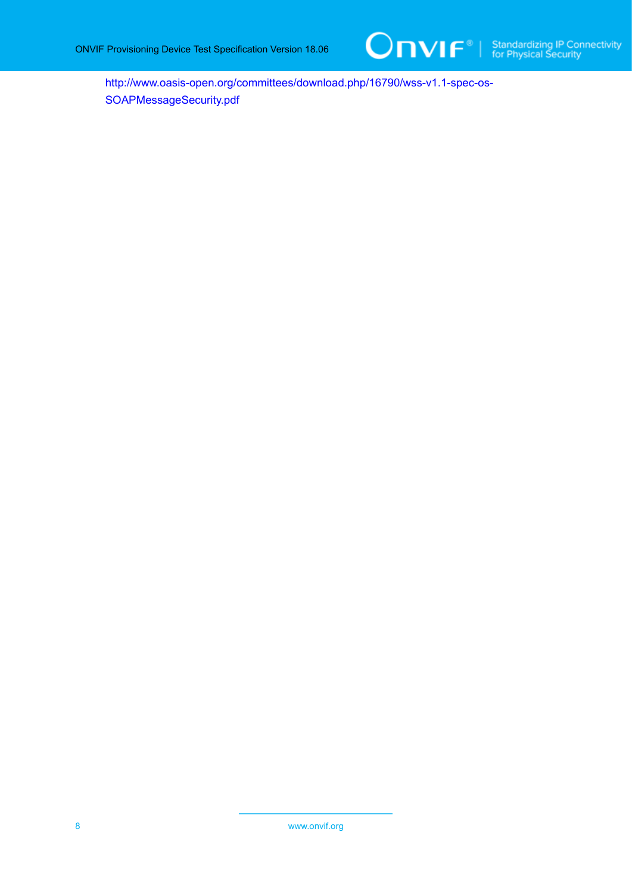

[http://www.oasis-open.org/committees/download.php/16790/wss-v1.1-spec-os-](http://www.oasis-open.org/committees/download.php/16790/wss-v1.1-spec-os-SOAPMessageSecurity.pdf)[SOAPMessageSecurity.pdf](http://www.oasis-open.org/committees/download.php/16790/wss-v1.1-spec-os-SOAPMessageSecurity.pdf)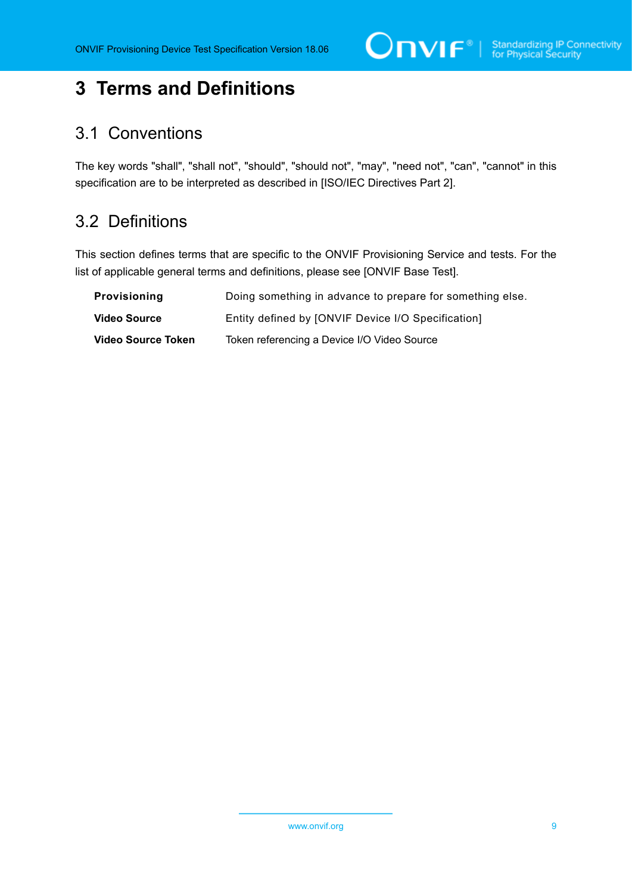# <span id="page-8-0"></span>**3 Terms and Definitions**

## <span id="page-8-1"></span>3.1 Conventions

The key words "shall", "shall not", "should", "should not", "may", "need not", "can", "cannot" in this specification are to be interpreted as described in [ISO/IEC Directives Part 2].

# <span id="page-8-2"></span>3.2 Definitions

This section defines terms that are specific to the ONVIF Provisioning Service and tests. For the list of applicable general terms and definitions, please see [ONVIF Base Test].

| <b>Provisioning</b> | Doing something in advance to prepare for something else. |
|---------------------|-----------------------------------------------------------|
| <b>Video Source</b> | Entity defined by [ONVIF Device I/O Specification]        |
| Video Source Token  | Token referencing a Device I/O Video Source               |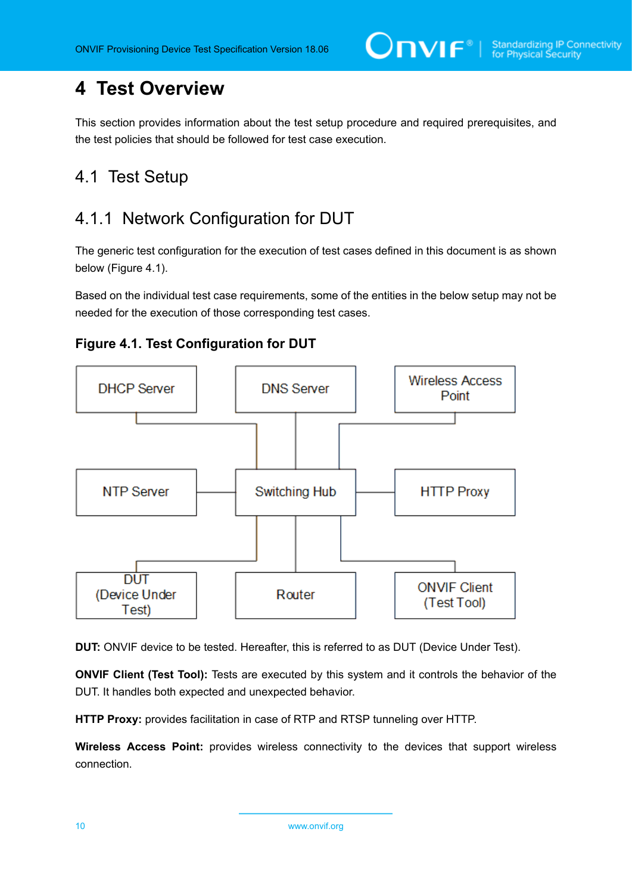# <span id="page-9-0"></span>**4 Test Overview**

This section provides information about the test setup procedure and required prerequisites, and the test policies that should be followed for test case execution.

# <span id="page-9-1"></span>4.1 Test Setup

# <span id="page-9-2"></span>4.1.1 Network Configuration for DUT

The generic test configuration for the execution of test cases defined in this document is as shown below (Figure 4.1).

Based on the individual test case requirements, some of the entities in the below setup may not be needed for the execution of those corresponding test cases.





**DUT:** ONVIF device to be tested. Hereafter, this is referred to as DUT (Device Under Test).

**ONVIF Client (Test Tool):** Tests are executed by this system and it controls the behavior of the DUT. It handles both expected and unexpected behavior.

**HTTP Proxy:** provides facilitation in case of RTP and RTSP tunneling over HTTP.

**Wireless Access Point:** provides wireless connectivity to the devices that support wireless connection.

10 www.onvif.org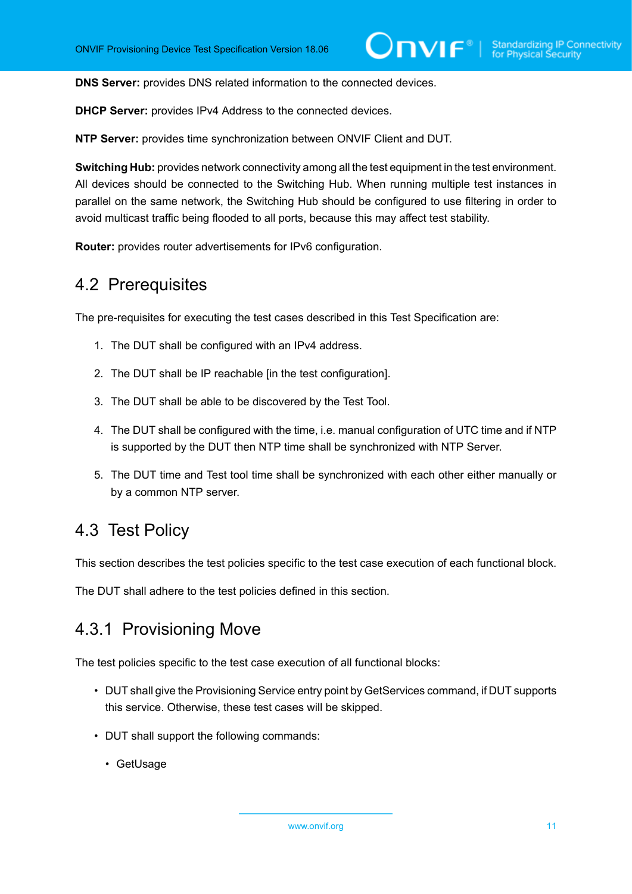**DNS Server:** provides DNS related information to the connected devices.

**DHCP Server:** provides IPv4 Address to the connected devices.

**NTP Server:** provides time synchronization between ONVIF Client and DUT.

**Switching Hub:** provides network connectivity among all the test equipment in the test environment. All devices should be connected to the Switching Hub. When running multiple test instances in parallel on the same network, the Switching Hub should be configured to use filtering in order to avoid multicast traffic being flooded to all ports, because this may affect test stability.

<span id="page-10-0"></span>**Router:** provides router advertisements for IPv6 configuration.

### 4.2 Prerequisites

The pre-requisites for executing the test cases described in this Test Specification are:

- 1. The DUT shall be configured with an IPv4 address.
- 2. The DUT shall be IP reachable [in the test configuration].
- 3. The DUT shall be able to be discovered by the Test Tool.
- 4. The DUT shall be configured with the time, i.e. manual configuration of UTC time and if NTP is supported by the DUT then NTP time shall be synchronized with NTP Server.
- 5. The DUT time and Test tool time shall be synchronized with each other either manually or by a common NTP server.

## <span id="page-10-1"></span>4.3 Test Policy

This section describes the test policies specific to the test case execution of each functional block.

<span id="page-10-2"></span>The DUT shall adhere to the test policies defined in this section.

## 4.3.1 Provisioning Move

The test policies specific to the test case execution of all functional blocks:

- DUT shall give the Provisioning Service entry point by GetServices command, if DUT supports this service. Otherwise, these test cases will be skipped.
- DUT shall support the following commands:
	- GetUsage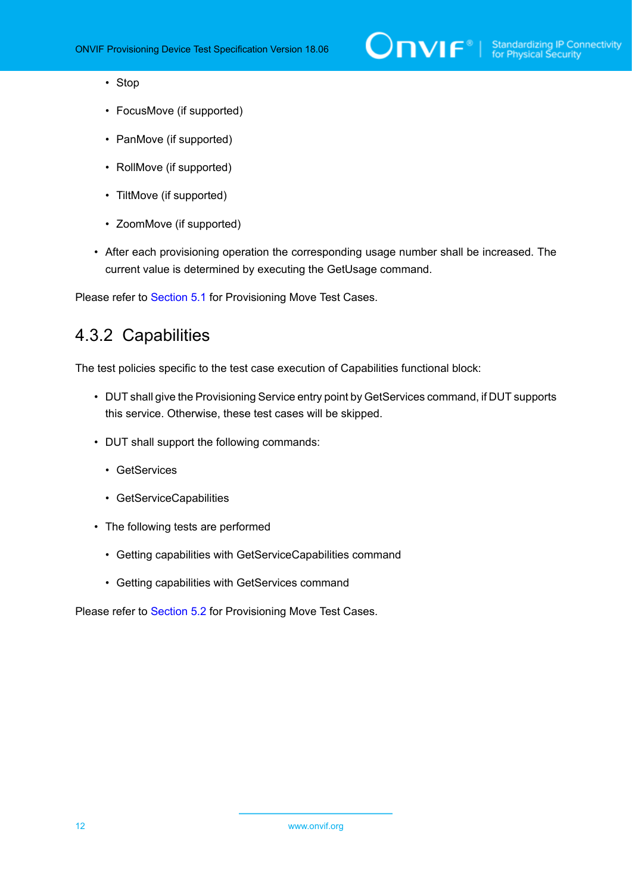# $\sum_{\text{IVIF}^{\circledast}}$  | Standardizing IP Connectivity

- Stop
- FocusMove (if supported)
- PanMove (if supported)
- RollMove (if supported)
- TiltMove (if supported)
- ZoomMove (if supported)
- After each provisioning operation the corresponding usage number shall be increased. The current value is determined by executing the GetUsage command.

<span id="page-11-0"></span>Please refer to [Section 5.1](#page-12-1) for Provisioning Move Test Cases.

### 4.3.2 Capabilities

The test policies specific to the test case execution of Capabilities functional block:

- DUT shall give the Provisioning Service entry point by GetServices command, if DUT supports this service. Otherwise, these test cases will be skipped.
- DUT shall support the following commands:
	- GetServices
	- GetServiceCapabilities
- The following tests are performed
	- Getting capabilities with GetServiceCapabilities command
	- Getting capabilities with GetServices command

Please refer to [Section 5.2](#page-24-0) for Provisioning Move Test Cases.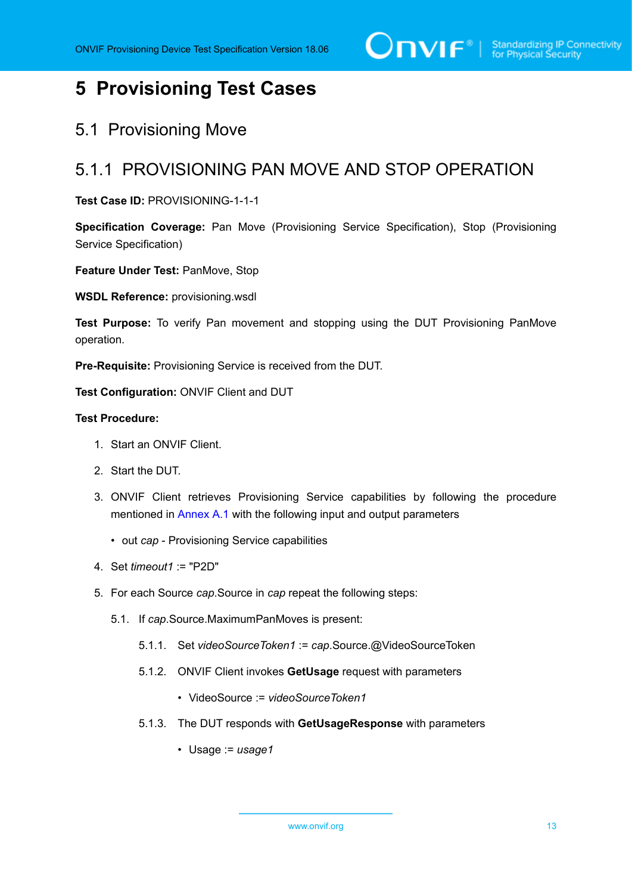# <span id="page-12-0"></span>**5 Provisioning Test Cases**

## <span id="page-12-1"></span>5.1 Provisioning Move

## <span id="page-12-2"></span>5.1.1 PROVISIONING PAN MOVE AND STOP OPERATION

#### **Test Case ID:** PROVISIONING-1-1-1

**Specification Coverage:** Pan Move (Provisioning Service Specification), Stop (Provisioning Service Specification)

**Feature Under Test:** PanMove, Stop

**WSDL Reference:** provisioning.wsdl

**Test Purpose:** To verify Pan movement and stopping using the DUT Provisioning PanMove operation.

**Pre-Requisite:** Provisioning Service is received from the DUT.

**Test Configuration:** ONVIF Client and DUT

#### **Test Procedure:**

- 1. Start an ONVIF Client.
- 2. Start the DUT.
- 3. ONVIF Client retrieves Provisioning Service capabilities by following the procedure mentioned in [Annex A.1](#page-27-1) with the following input and output parameters
	- out *cap* Provisioning Service capabilities
- 4. Set *timeout1* := "P2D"
- 5. For each Source *cap*.Source in *cap* repeat the following steps:
	- 5.1. If *cap*.Source.MaximumPanMoves is present:
		- 5.1.1. Set *videoSourceToken1* := *cap*.Source.@VideoSourceToken
		- 5.1.2. ONVIF Client invokes **GetUsage** request with parameters
			- VideoSource := *videoSourceToken1*
		- 5.1.3. The DUT responds with **GetUsageResponse** with parameters
			- Usage := *usage1*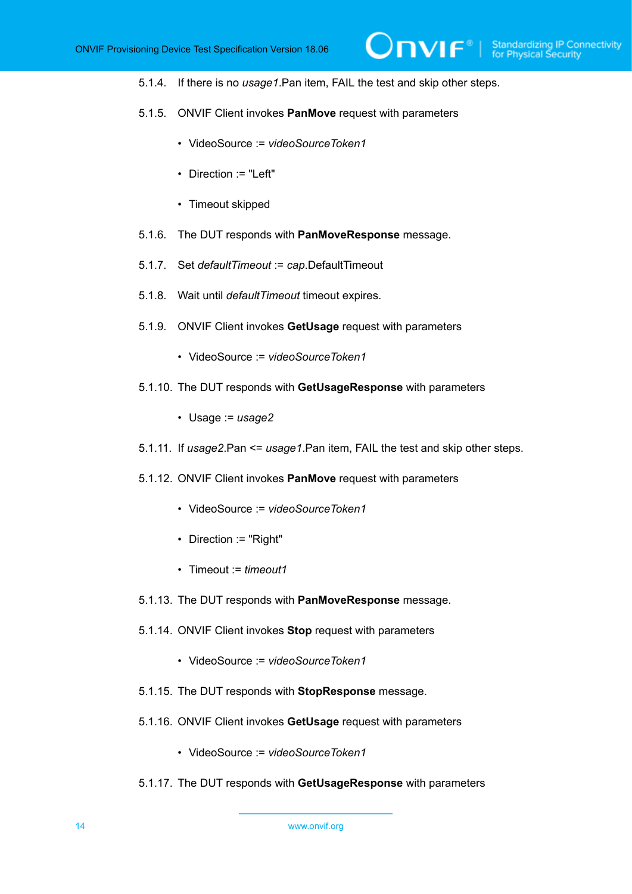5.1.4. If there is no *usage1*.Pan item, FAIL the test and skip other steps.

 $\overline{N}$ 

- 5.1.5. ONVIF Client invokes **PanMove** request with parameters
	- VideoSource := *videoSourceToken1*
	- Direction := "Left"
	- Timeout skipped
- 5.1.6. The DUT responds with **PanMoveResponse** message.
- 5.1.7. Set *defaultTimeout* := *cap*.DefaultTimeout
- 5.1.8. Wait until *defaultTimeout* timeout expires.
- 5.1.9. ONVIF Client invokes **GetUsage** request with parameters
	- VideoSource := *videoSourceToken1*
- 5.1.10. The DUT responds with **GetUsageResponse** with parameters
	- Usage := *usage2*
- 5.1.11. If *usage2*.Pan <= *usage1*.Pan item, FAIL the test and skip other steps.
- 5.1.12. ONVIF Client invokes **PanMove** request with parameters
	- VideoSource := *videoSourceToken1*
	- Direction := "Right"
	- Timeout := *timeout1*
- 5.1.13. The DUT responds with **PanMoveResponse** message.
- 5.1.14. ONVIF Client invokes **Stop** request with parameters
	- VideoSource := *videoSourceToken1*
- 5.1.15. The DUT responds with **StopResponse** message.
- 5.1.16. ONVIF Client invokes **GetUsage** request with parameters
	- VideoSource := *videoSourceToken1*
- 5.1.17. The DUT responds with **GetUsageResponse** with parameters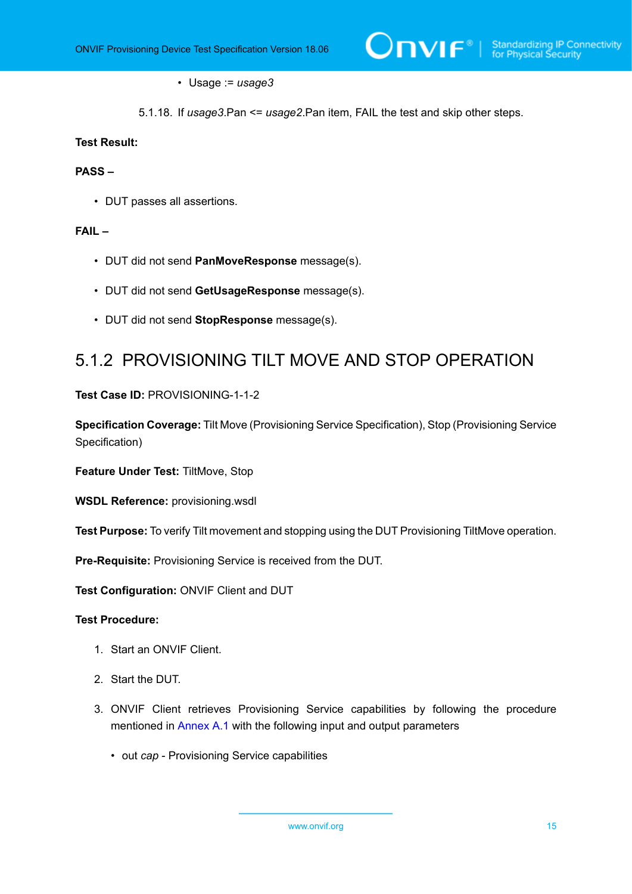#### • Usage := *usage3*

5.1.18. If *usage3*.Pan <= *usage2*.Pan item, FAIL the test and skip other steps.

#### **Test Result:**

#### **PASS –**

• DUT passes all assertions.

#### **FAIL –**

- DUT did not send **PanMoveResponse** message(s).
- DUT did not send **GetUsageResponse** message(s).
- DUT did not send **StopResponse** message(s).

## <span id="page-14-0"></span>5.1.2 PROVISIONING TILT MOVE AND STOP OPERATION

**Test Case ID:** PROVISIONING-1-1-2

**Specification Coverage:** Tilt Move (Provisioning Service Specification), Stop (Provisioning Service Specification)

**Feature Under Test:** TiltMove, Stop

**WSDL Reference:** provisioning.wsdl

**Test Purpose:** To verify Tilt movement and stopping using the DUT Provisioning TiltMove operation.

**Pre-Requisite:** Provisioning Service is received from the DUT.

**Test Configuration:** ONVIF Client and DUT

#### **Test Procedure:**

- 1. Start an ONVIF Client.
- 2. Start the DUT.
- 3. ONVIF Client retrieves Provisioning Service capabilities by following the procedure mentioned in [Annex A.1](#page-27-1) with the following input and output parameters
	- out *cap* Provisioning Service capabilities

www.onvif.org 15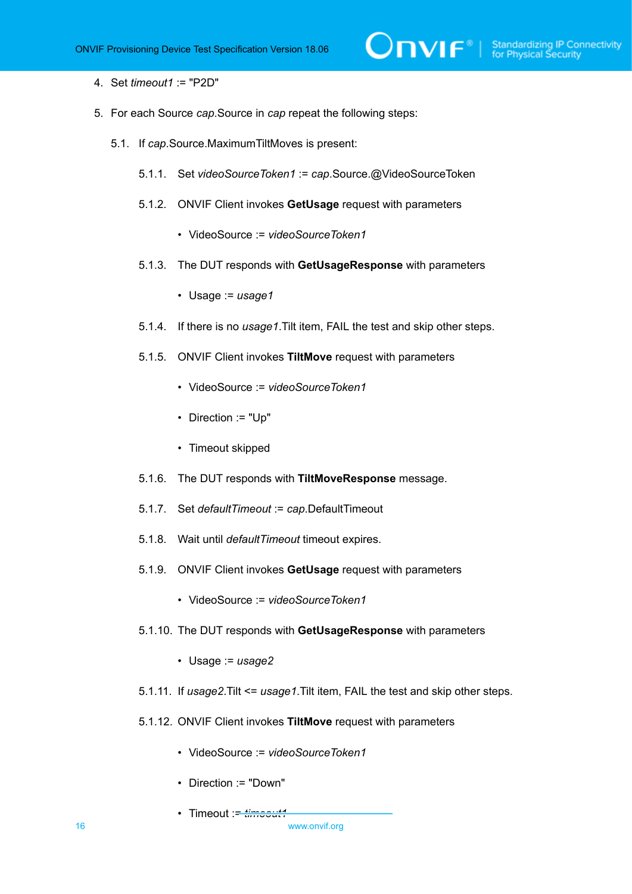4. Set *timeout1* := "P2D"

- 5. For each Source *cap*.Source in *cap* repeat the following steps:
	- 5.1. If *cap*.Source.MaximumTiltMoves is present:
		- 5.1.1. Set *videoSourceToken1* := *cap*.Source.@VideoSourceToken
		- 5.1.2. ONVIF Client invokes **GetUsage** request with parameters
			- VideoSource := *videoSourceToken1*
		- 5.1.3. The DUT responds with **GetUsageResponse** with parameters
			- Usage := *usage1*
		- 5.1.4. If there is no *usage1*.Tilt item, FAIL the test and skip other steps.
		- 5.1.5. ONVIF Client invokes **TiltMove** request with parameters
			- VideoSource := *videoSourceToken1*
			- Direction := "Up"
			- Timeout skipped
		- 5.1.6. The DUT responds with **TiltMoveResponse** message.
		- 5.1.7. Set *defaultTimeout* := *cap*.DefaultTimeout
		- 5.1.8. Wait until *defaultTimeout* timeout expires.
		- 5.1.9. ONVIF Client invokes **GetUsage** request with parameters
			- VideoSource := *videoSourceToken1*
		- 5.1.10. The DUT responds with **GetUsageResponse** with parameters
			- Usage := *usage2*
		- 5.1.11. If *usage2*.Tilt <= *usage1*.Tilt item, FAIL the test and skip other steps.
		- 5.1.12. ONVIF Client invokes **TiltMove** request with parameters
			- VideoSource := *videoSourceToken1*
			- Direction := "Down"
			- Timeout := *timeout1*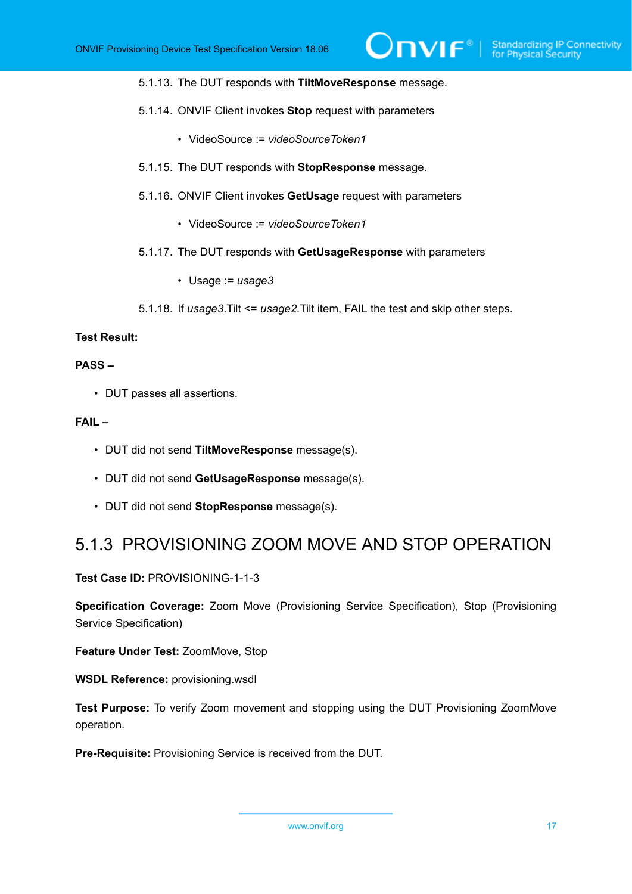- 5.1.13. The DUT responds with **TiltMoveResponse** message.
- 5.1.14. ONVIF Client invokes **Stop** request with parameters
	- VideoSource := *videoSourceToken1*
- 5.1.15. The DUT responds with **StopResponse** message.
- 5.1.16. ONVIF Client invokes **GetUsage** request with parameters
	- VideoSource := *videoSourceToken1*
- 5.1.17. The DUT responds with **GetUsageResponse** with parameters
	- Usage := *usage3*
- 5.1.18. If *usage3*.Tilt <= *usage2*.Tilt item, FAIL the test and skip other steps.

#### **Test Result:**

#### **PASS –**

• DUT passes all assertions.

#### **FAIL –**

- DUT did not send **TiltMoveResponse** message(s).
- DUT did not send **GetUsageResponse** message(s).
- DUT did not send **StopResponse** message(s).

### <span id="page-16-0"></span>5.1.3 PROVISIONING ZOOM MOVE AND STOP OPERATION

#### **Test Case ID:** PROVISIONING-1-1-3

**Specification Coverage:** Zoom Move (Provisioning Service Specification), Stop (Provisioning Service Specification)

**Feature Under Test:** ZoomMove, Stop

**WSDL Reference:** provisioning.wsdl

**Test Purpose:** To verify Zoom movement and stopping using the DUT Provisioning ZoomMove operation.

**Pre-Requisite:** Provisioning Service is received from the DUT.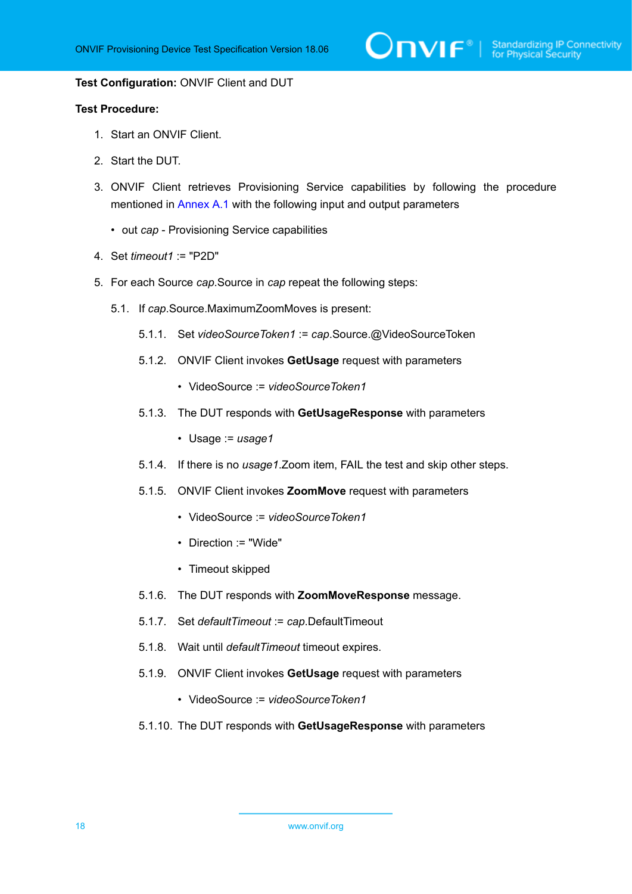$\sum_{\text{IVIF}^\text{\tiny (\%)}}$  Standardizing IP Connectivity

#### **Test Configuration:** ONVIF Client and DUT

#### **Test Procedure:**

- 1. Start an ONVIF Client.
- 2. Start the DUT.
- 3. ONVIF Client retrieves Provisioning Service capabilities by following the procedure mentioned in [Annex A.1](#page-27-1) with the following input and output parameters
	- out *cap* Provisioning Service capabilities
- 4. Set *timeout1* := "P2D"
- 5. For each Source *cap*.Source in *cap* repeat the following steps:
	- 5.1. If *cap*.Source.MaximumZoomMoves is present:
		- 5.1.1. Set *videoSourceToken1* := *cap*.Source.@VideoSourceToken
		- 5.1.2. ONVIF Client invokes **GetUsage** request with parameters
			- VideoSource := *videoSourceToken1*
		- 5.1.3. The DUT responds with **GetUsageResponse** with parameters
			- Usage := *usage1*
		- 5.1.4. If there is no *usage1*.Zoom item, FAIL the test and skip other steps.
		- 5.1.5. ONVIF Client invokes **ZoomMove** request with parameters
			- VideoSource := *videoSourceToken1*
			- Direction := "Wide"
			- Timeout skipped
		- 5.1.6. The DUT responds with **ZoomMoveResponse** message.
		- 5.1.7. Set *defaultTimeout* := *cap*.DefaultTimeout
		- 5.1.8. Wait until *defaultTimeout* timeout expires.
		- 5.1.9. ONVIF Client invokes **GetUsage** request with parameters
			- VideoSource := *videoSourceToken1*
		- 5.1.10. The DUT responds with **GetUsageResponse** with parameters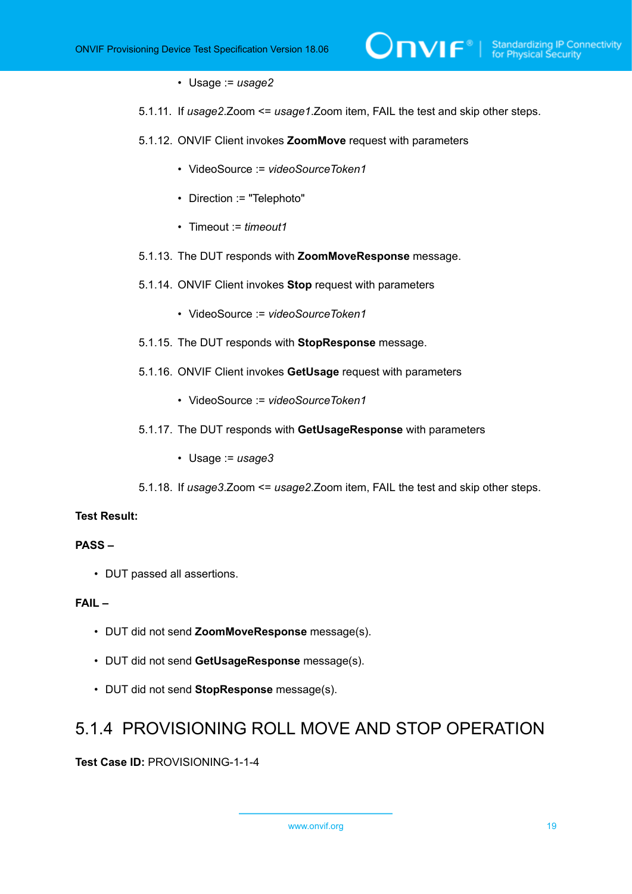- Usage := *usage2*
- 5.1.11. If *usage2*.Zoom <= *usage1*.Zoom item, FAIL the test and skip other steps.
- 5.1.12. ONVIF Client invokes **ZoomMove** request with parameters
	- VideoSource := *videoSourceToken1*
	- Direction := "Telephoto"
	- Timeout := *timeout1*
- 5.1.13. The DUT responds with **ZoomMoveResponse** message.
- 5.1.14. ONVIF Client invokes **Stop** request with parameters
	- VideoSource := *videoSourceToken1*
- 5.1.15. The DUT responds with **StopResponse** message.
- 5.1.16. ONVIF Client invokes **GetUsage** request with parameters
	- VideoSource := *videoSourceToken1*
- 5.1.17. The DUT responds with **GetUsageResponse** with parameters
	- Usage := *usage3*
- 5.1.18. If *usage3*.Zoom <= *usage2*.Zoom item, FAIL the test and skip other steps.

#### **Test Result:**

#### **PASS –**

• DUT passed all assertions.

#### **FAIL –**

- DUT did not send **ZoomMoveResponse** message(s).
- DUT did not send **GetUsageResponse** message(s).
- <span id="page-18-0"></span>• DUT did not send **StopResponse** message(s).

### 5.1.4 PROVISIONING ROLL MOVE AND STOP OPERATION

**Test Case ID:** PROVISIONING-1-1-4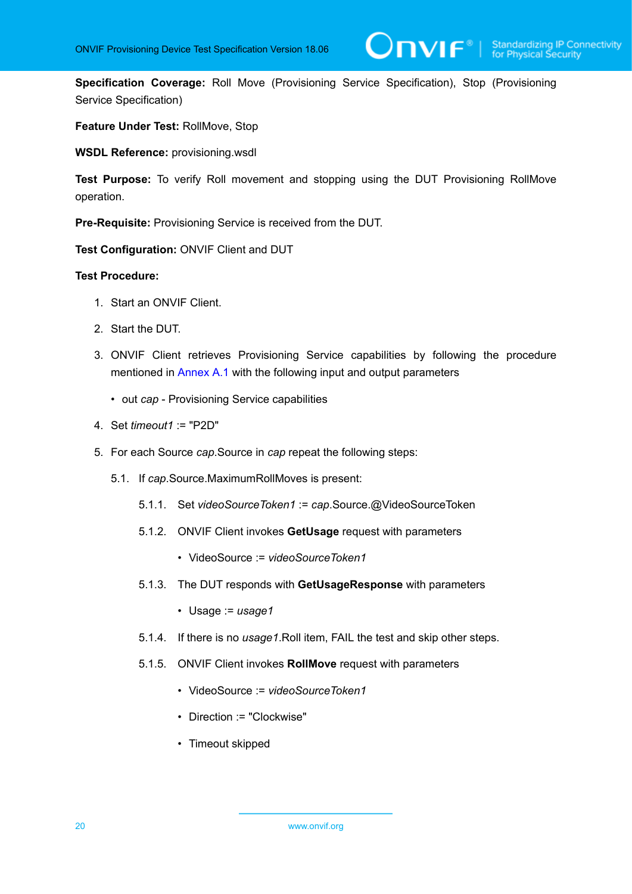**Specification Coverage:** Roll Move (Provisioning Service Specification), Stop (Provisioning Service Specification)

#### **Feature Under Test:** RollMove, Stop

**WSDL Reference:** provisioning.wsdl

**Test Purpose:** To verify Roll movement and stopping using the DUT Provisioning RollMove operation.

**Pre-Requisite:** Provisioning Service is received from the DUT.

**Test Configuration:** ONVIF Client and DUT

#### **Test Procedure:**

- 1. Start an ONVIF Client.
- 2. Start the DUT.
- 3. ONVIF Client retrieves Provisioning Service capabilities by following the procedure mentioned in [Annex A.1](#page-27-1) with the following input and output parameters
	- out *cap* Provisioning Service capabilities
- 4. Set *timeout1* := "P2D"
- 5. For each Source *cap*.Source in *cap* repeat the following steps:
	- 5.1. If *cap*.Source.MaximumRollMoves is present:
		- 5.1.1. Set *videoSourceToken1* := *cap*.Source.@VideoSourceToken
		- 5.1.2. ONVIF Client invokes **GetUsage** request with parameters
			- VideoSource := *videoSourceToken1*
		- 5.1.3. The DUT responds with **GetUsageResponse** with parameters
			- Usage := *usage1*
		- 5.1.4. If there is no *usage1*.Roll item, FAIL the test and skip other steps.
		- 5.1.5. ONVIF Client invokes **RollMove** request with parameters
			- VideoSource := *videoSourceToken1*
			- Direction := "Clockwise"
			- Timeout skipped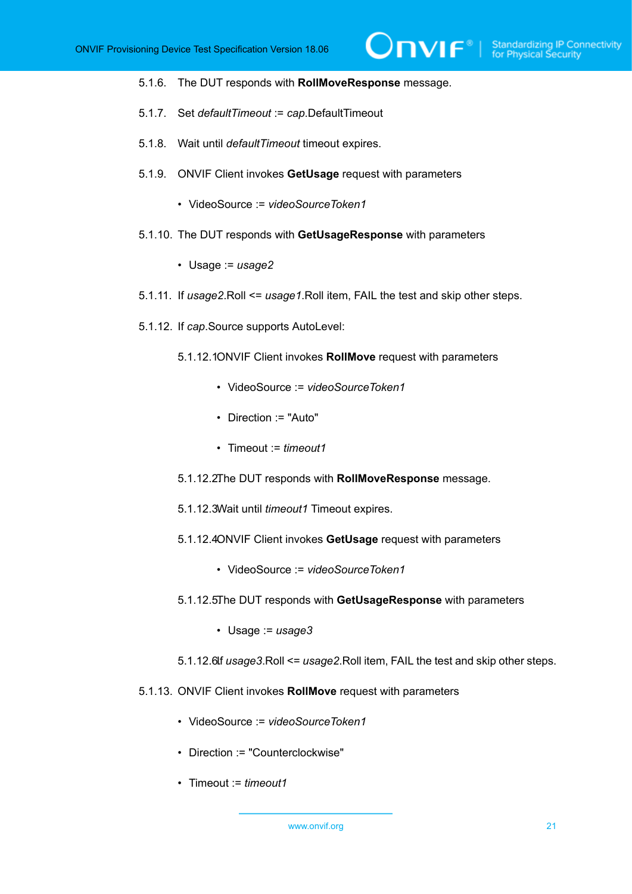$\overline{\mathsf{DPIF}^*}$ 

- 5.1.6. The DUT responds with **RollMoveResponse** message.
- 5.1.7. Set *defaultTimeout* := *cap*.DefaultTimeout
- 5.1.8. Wait until *defaultTimeout* timeout expires.
- 5.1.9. ONVIF Client invokes **GetUsage** request with parameters
	- VideoSource := *videoSourceToken1*
- 5.1.10. The DUT responds with **GetUsageResponse** with parameters
	- Usage := *usage2*
- 5.1.11. If *usage2*.Roll <= *usage1*.Roll item, FAIL the test and skip other steps.
- 5.1.12. If *cap*.Source supports AutoLevel:
	- 5.1.12.1.ONVIF Client invokes **RollMove** request with parameters
		- VideoSource := *videoSourceToken1*
		- Direction := "Auto"
		- Timeout := *timeout1*
	- 5.1.12.2.The DUT responds with **RollMoveResponse** message.
	- 5.1.12.3.Wait until *timeout1* Timeout expires.
	- 5.1.12.4.ONVIF Client invokes **GetUsage** request with parameters
		- VideoSource := *videoSourceToken1*
	- 5.1.12.5.The DUT responds with **GetUsageResponse** with parameters
		- Usage := *usage3*
	- 5.1.12.6.If *usage3*.Roll <= *usage2*.Roll item, FAIL the test and skip other steps.
- 5.1.13. ONVIF Client invokes **RollMove** request with parameters
	- VideoSource := *videoSourceToken1*
	- Direction := "Counterclockwise"
	- Timeout := *timeout1*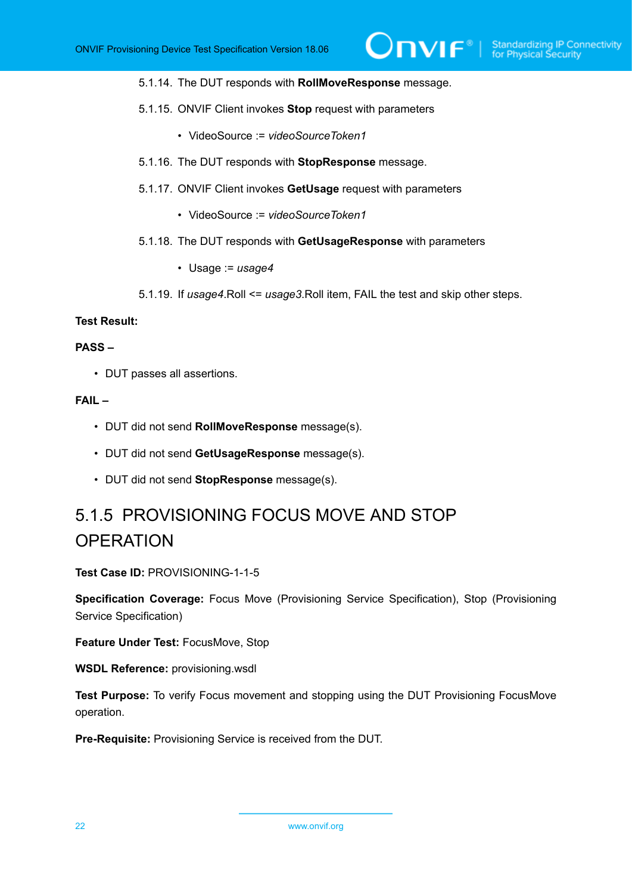- 5.1.14. The DUT responds with **RollMoveResponse** message.
- 5.1.15. ONVIF Client invokes **Stop** request with parameters
	- VideoSource := *videoSourceToken1*
- 5.1.16. The DUT responds with **StopResponse** message.
- 5.1.17. ONVIF Client invokes **GetUsage** request with parameters
	- VideoSource := *videoSourceToken1*
- 5.1.18. The DUT responds with **GetUsageResponse** with parameters
	- Usage := *usage4*
- 5.1.19. If *usage4*.Roll <= *usage3*.Roll item, FAIL the test and skip other steps.

#### **Test Result:**

#### **PASS –**

• DUT passes all assertions.

#### **FAIL –**

- DUT did not send **RollMoveResponse** message(s).
- DUT did not send **GetUsageResponse** message(s).
- DUT did not send **StopResponse** message(s).

# <span id="page-21-0"></span>5.1.5 PROVISIONING FOCUS MOVE AND STOP **OPERATION**

**Test Case ID:** PROVISIONING-1-1-5

**Specification Coverage:** Focus Move (Provisioning Service Specification), Stop (Provisioning Service Specification)

**Feature Under Test:** FocusMove, Stop

**WSDL Reference:** provisioning.wsdl

**Test Purpose:** To verify Focus movement and stopping using the DUT Provisioning FocusMove operation.

**Pre-Requisite:** Provisioning Service is received from the DUT.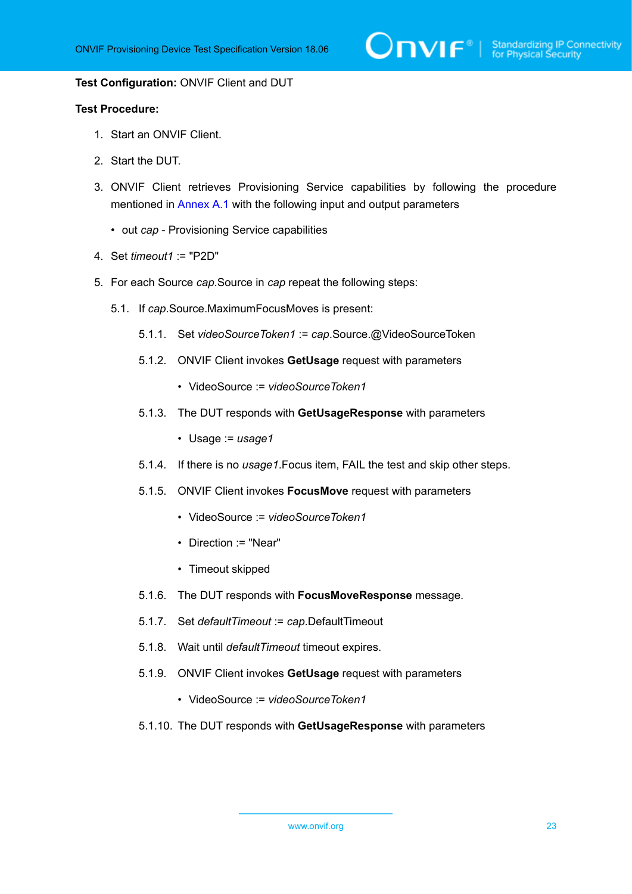$\bigcirc$  MVIF<sup>®</sup> | Standardizing IP Connectivity

#### **Test Configuration:** ONVIF Client and DUT

#### **Test Procedure:**

- 1. Start an ONVIF Client.
- 2. Start the DUT.
- 3. ONVIF Client retrieves Provisioning Service capabilities by following the procedure mentioned in [Annex A.1](#page-27-1) with the following input and output parameters
	- out *cap* Provisioning Service capabilities
- 4. Set *timeout1* := "P2D"
- 5. For each Source *cap*.Source in *cap* repeat the following steps:
	- 5.1. If *cap*.Source.MaximumFocusMoves is present:
		- 5.1.1. Set *videoSourceToken1* := *cap*.Source.@VideoSourceToken
		- 5.1.2. ONVIF Client invokes **GetUsage** request with parameters
			- VideoSource := *videoSourceToken1*
		- 5.1.3. The DUT responds with **GetUsageResponse** with parameters
			- Usage := *usage1*
		- 5.1.4. If there is no *usage1*.Focus item, FAIL the test and skip other steps.
		- 5.1.5. ONVIF Client invokes **FocusMove** request with parameters
			- VideoSource := *videoSourceToken1*
			- Direction := "Near"
			- Timeout skipped
		- 5.1.6. The DUT responds with **FocusMoveResponse** message.
		- 5.1.7. Set *defaultTimeout* := *cap*.DefaultTimeout
		- 5.1.8. Wait until *defaultTimeout* timeout expires.
		- 5.1.9. ONVIF Client invokes **GetUsage** request with parameters
			- VideoSource := *videoSourceToken1*
		- 5.1.10. The DUT responds with **GetUsageResponse** with parameters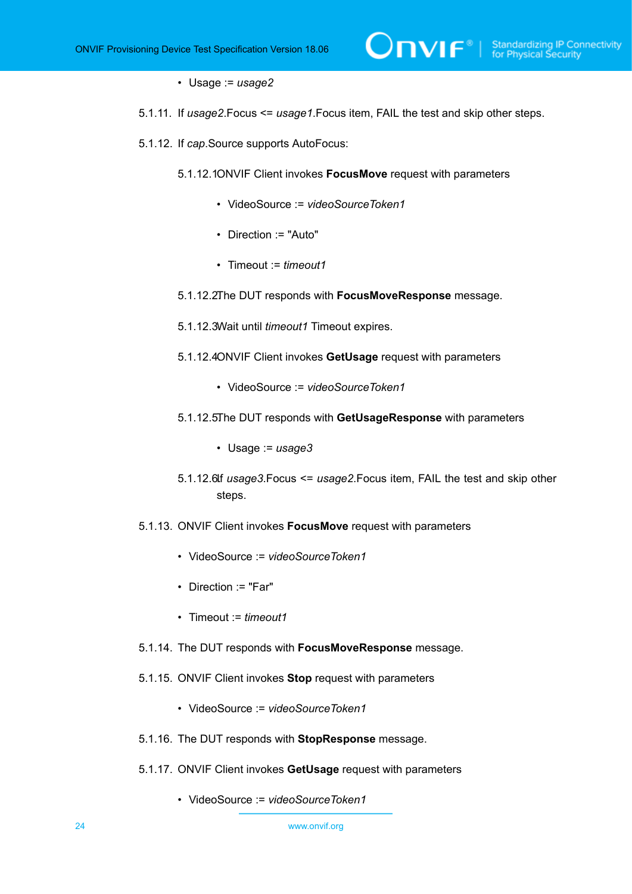- Usage := *usage2*
- 5.1.11. If *usage2*.Focus <= *usage1*.Focus item, FAIL the test and skip other steps.
- 5.1.12. If *cap*.Source supports AutoFocus:
	- 5.1.12.10NVIF Client invokes **FocusMove** request with parameters
		- VideoSource := *videoSourceToken1*
		- Direction := "Auto"
		- Timeout := *timeout1*
	- 5.1.12.2.The DUT responds with **FocusMoveResponse** message.
	- 5.1.12.3.Wait until *timeout1* Timeout expires.
	- 5.1.12.4.ONVIF Client invokes **GetUsage** request with parameters
		- VideoSource := *videoSourceToken1*
	- 5.1.12.5.The DUT responds with **GetUsageResponse** with parameters
		- Usage := *usage3*
	- 5.1.12.6.If *usage3*.Focus <= *usage2*.Focus item, FAIL the test and skip other steps.
- 5.1.13. ONVIF Client invokes **FocusMove** request with parameters
	- VideoSource := *videoSourceToken1*
	- Direction := "Far"
	- Timeout := *timeout1*
- 5.1.14. The DUT responds with **FocusMoveResponse** message.
- 5.1.15. ONVIF Client invokes **Stop** request with parameters
	- VideoSource := *videoSourceToken1*
- 5.1.16. The DUT responds with **StopResponse** message.
- 5.1.17. ONVIF Client invokes **GetUsage** request with parameters
	- VideoSource := *videoSourceToken1*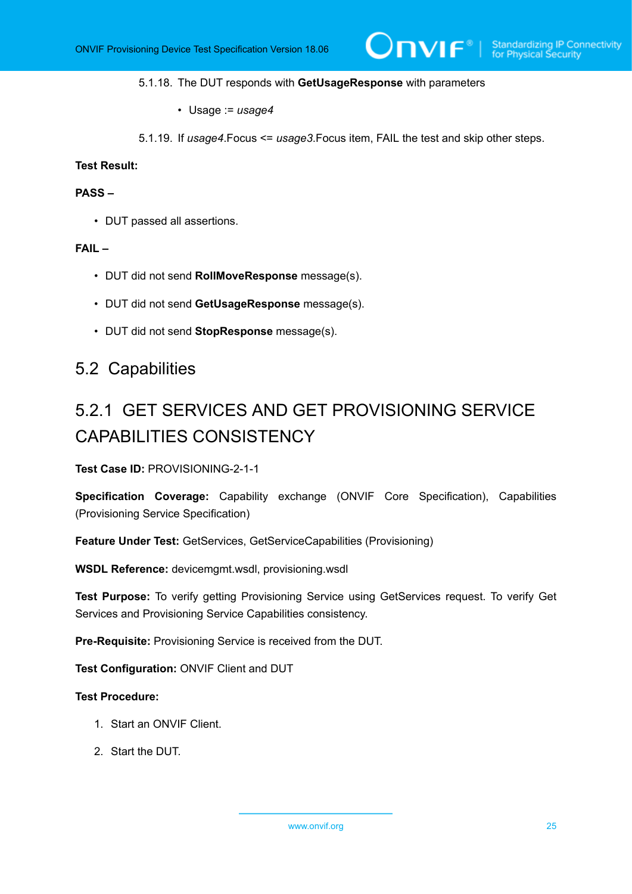#### 5.1.18. The DUT responds with **GetUsageResponse** with parameters

- Usage := *usage4*
- 5.1.19. If *usage4*.Focus <= *usage3*.Focus item, FAIL the test and skip other steps.

#### **Test Result:**

#### **PASS –**

• DUT passed all assertions.

#### **FAIL –**

- DUT did not send **RollMoveResponse** message(s).
- DUT did not send **GetUsageResponse** message(s).
- DUT did not send **StopResponse** message(s).

### <span id="page-24-0"></span>5.2 Capabilities

# <span id="page-24-1"></span>5.2.1 GET SERVICES AND GET PROVISIONING SERVICE CAPABILITIES CONSISTENCY

**Test Case ID:** PROVISIONING-2-1-1

**Specification Coverage:** Capability exchange (ONVIF Core Specification), Capabilities (Provisioning Service Specification)

**Feature Under Test:** GetServices, GetServiceCapabilities (Provisioning)

**WSDL Reference:** devicemgmt.wsdl, provisioning.wsdl

**Test Purpose:** To verify getting Provisioning Service using GetServices request. To verify Get Services and Provisioning Service Capabilities consistency.

**Pre-Requisite:** Provisioning Service is received from the DUT.

**Test Configuration:** ONVIF Client and DUT

#### **Test Procedure:**

- 1. Start an ONVIF Client.
- 2. Start the DUT.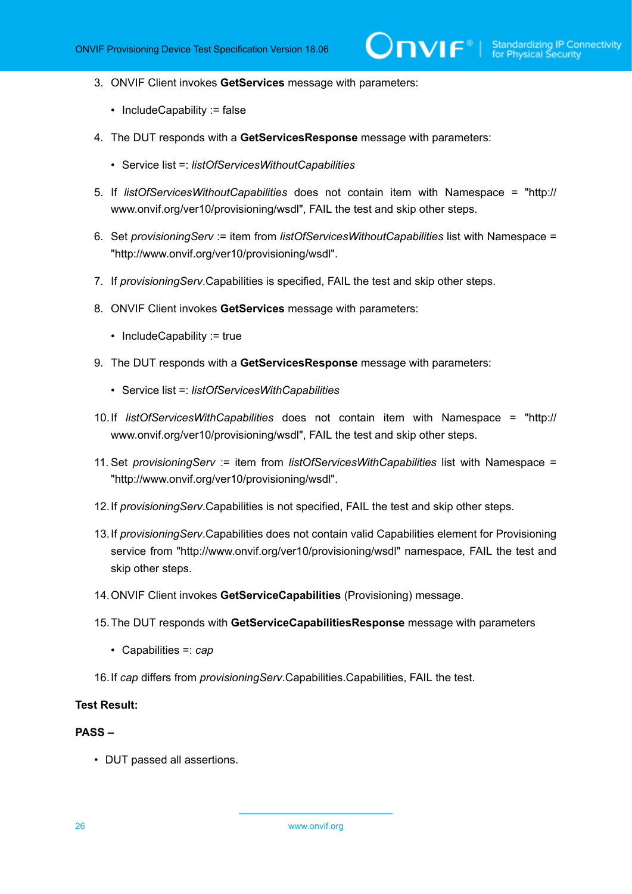- 3. ONVIF Client invokes **GetServices** message with parameters:
	- IncludeCapability := false
- 4. The DUT responds with a **GetServicesResponse** message with parameters:
	- Service list =: *listOfServicesWithoutCapabilities*
- 5. If *listOfServicesWithoutCapabilities* does not contain item with Namespace = "http:// www.onvif.org/ver10/provisioning/wsdl", FAIL the test and skip other steps.
- 6. Set *provisioningServ* := item from *listOfServicesWithoutCapabilities* list with Namespace = "http://www.onvif.org/ver10/provisioning/wsdl".
- 7. If *provisioningServ*.Capabilities is specified, FAIL the test and skip other steps.
- 8. ONVIF Client invokes **GetServices** message with parameters:
	- IncludeCapability := true
- 9. The DUT responds with a **GetServicesResponse** message with parameters:
	- Service list =: *listOfServicesWithCapabilities*
- 10.If *listOfServicesWithCapabilities* does not contain item with Namespace = "http:// www.onvif.org/ver10/provisioning/wsdl", FAIL the test and skip other steps.
- 11. Set *provisioningServ* := item from *listOfServicesWithCapabilities* list with Namespace = "http://www.onvif.org/ver10/provisioning/wsdl".
- 12.If *provisioningServ*.Capabilities is not specified, FAIL the test and skip other steps.
- 13.If *provisioningServ*.Capabilities does not contain valid Capabilities element for Provisioning service from "http://www.onvif.org/ver10/provisioning/wsdl" namespace, FAIL the test and skip other steps.
- 14.ONVIF Client invokes **GetServiceCapabilities** (Provisioning) message.
- 15.The DUT responds with **GetServiceCapabilitiesResponse** message with parameters
	- Capabilities =: *cap*
- 16.If *cap* differs from *provisioningServ*.Capabilities.Capabilities, FAIL the test.

#### **Test Result:**

#### **PASS –**

• DUT passed all assertions.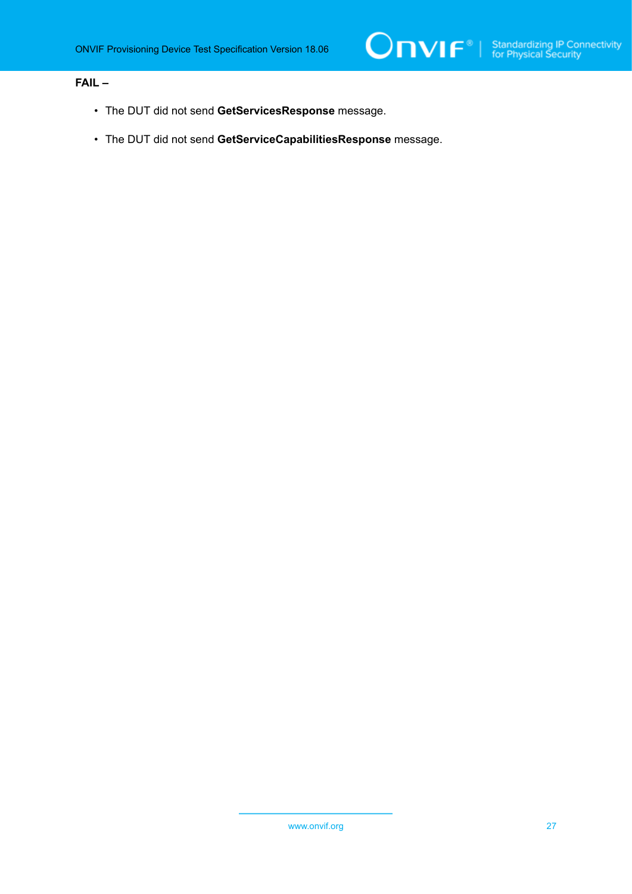#### **FAIL –**

- The DUT did not send **GetServicesResponse** message.
- The DUT did not send **GetServiceCapabilitiesResponse** message.